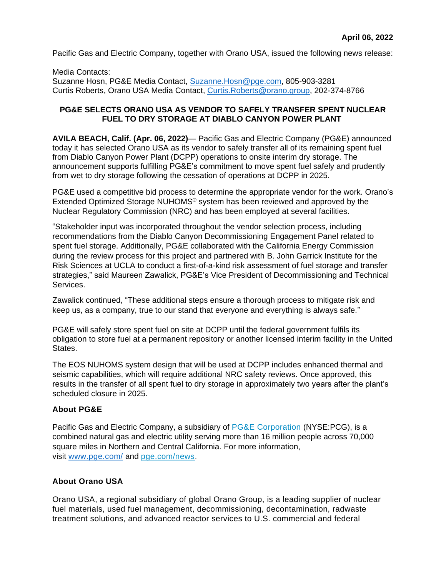Pacific Gas and Electric Company, together with Orano USA, issued the following news release:

Media Contacts: Suzanne Hosn, PG&E Media Contact, [Suzanne.Hosn@pge.com,](mailto:Suzanne.Hosn@pge.com) 805-903-3281 Curtis Roberts, Orano USA Media Contact, [Curtis.Roberts@orano.group,](mailto:Curtis.Roberts@orano.group) 202-374-8766

## **PG&E SELECTS ORANO USA AS VENDOR TO SAFELY TRANSFER SPENT NUCLEAR FUEL TO DRY STORAGE AT DIABLO CANYON POWER PLANT**

**AVILA BEACH, Calif. (Apr. 06, 2022)**— Pacific Gas and Electric Company (PG&E) announced today it has selected Orano USA as its vendor to safely transfer all of its remaining spent fuel from Diablo Canyon Power Plant (DCPP) operations to onsite interim dry storage. The announcement supports fulfilling PG&E's commitment to move spent fuel safely and prudently from wet to dry storage following the cessation of operations at DCPP in 2025.

PG&E used a competitive bid process to determine the appropriate vendor for the work. Orano's Extended Optimized Storage NUHOMS® system has been reviewed and approved by the Nuclear Regulatory Commission (NRC) and has been employed at several facilities.

"Stakeholder input was incorporated throughout the vendor selection process, including recommendations from the Diablo Canyon Decommissioning Engagement Panel related to spent fuel storage. Additionally, PG&E collaborated with the California Energy Commission during the review process for this project and partnered with B. John Garrick Institute for the Risk Sciences at UCLA to conduct a first-of-a-kind risk assessment of fuel storage and transfer strategies," said Maureen Zawalick, PG&E's Vice President of Decommissioning and Technical Services.

Zawalick continued, "These additional steps ensure a thorough process to mitigate risk and keep us, as a company, true to our stand that everyone and everything is always safe."

PG&E will safely store spent fuel on site at DCPP until the federal government fulfils its obligation to store fuel at a permanent repository or another licensed interim facility in the United States.

The EOS NUHOMS system design that will be used at DCPP includes enhanced thermal and seismic capabilities, which will require additional NRC safety reviews. Once approved, this results in the transfer of all spent fuel to dry storage in approximately two years after the plant's scheduled closure in 2025.

## **About PG&E**

Pacific Gas and Electric Company, a subsidiary of [PG&E Corporation](http://www.pge-corp.com/) (NYSE:PCG), is a combined natural gas and electric utility serving more than 16 million people across 70,000 square miles in Northern and Central California. For more information, visit [www.pge.com/](http://www.pge.com/) and [pge.com/news.](https://www.pge.com/news)

## **About Orano USA**

Orano USA, a regional subsidiary of global Orano Group, is a leading supplier of nuclear fuel materials, used fuel management, decommissioning, decontamination, radwaste treatment solutions, and advanced reactor services to U.S. commercial and federal